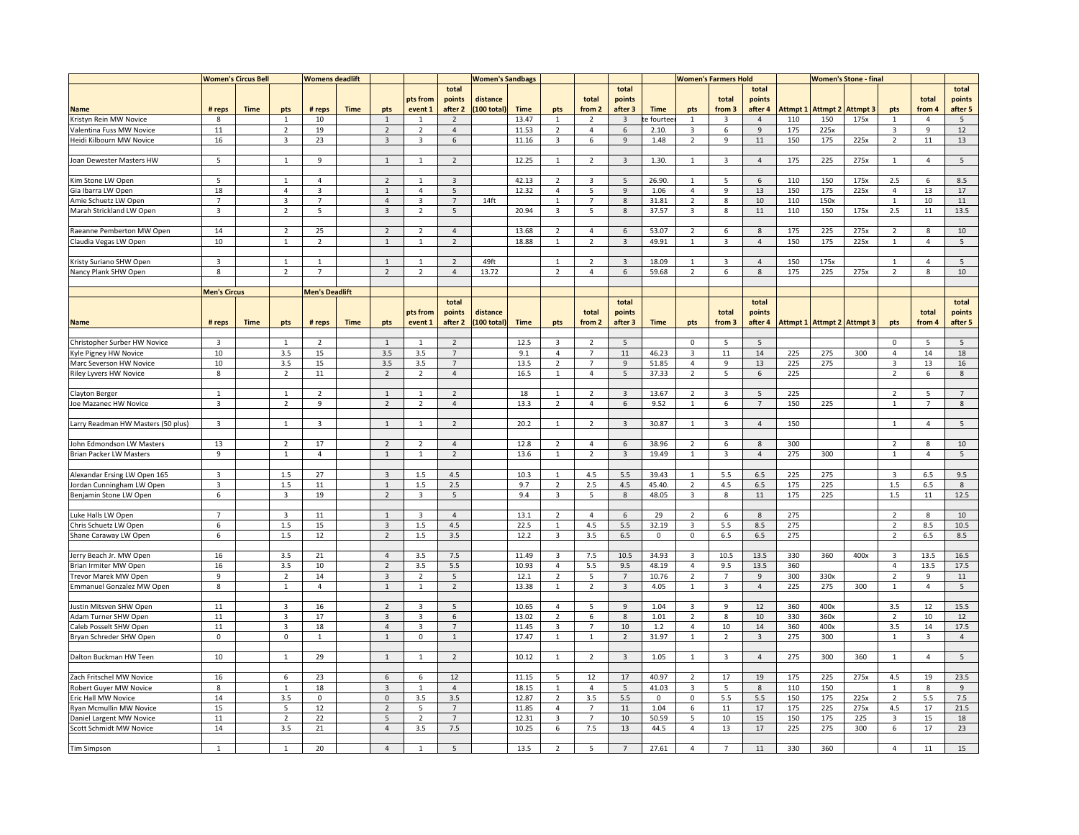|                                             | <b>Women's Circus Bell</b> |             |                     | <b>Womens deadlift</b> |             |                                |                                | <b>Women's Sandbags</b>  |            |              |                                |                         |                | <b>Women's Farmers Hold</b> |                                           |                         |                | <b>Women's Stone - final</b> |                   |                 |                                  |                |                 |
|---------------------------------------------|----------------------------|-------------|---------------------|------------------------|-------------|--------------------------------|--------------------------------|--------------------------|------------|--------------|--------------------------------|-------------------------|----------------|-----------------------------|-------------------------------------------|-------------------------|----------------|------------------------------|-------------------|-----------------|----------------------------------|----------------|-----------------|
|                                             |                            |             |                     |                        |             |                                |                                | total                    |            |              |                                |                         | total          |                             |                                           |                         | total          |                              |                   |                 |                                  |                | total           |
|                                             |                            |             |                     |                        |             |                                | pts from                       | points                   | distance   |              |                                | total                   | points         |                             |                                           | total                   | points         |                              |                   |                 |                                  | total          | points          |
| Name                                        | # reps                     | Time        | pts                 | # reps                 | <b>Time</b> | pts                            | event 1                        | after 2                  | 100 total) | <b>Time</b>  | pts                            | from 2                  | after 3        | <b>Time</b>                 | pts                                       | from 3                  | after 4        |                              | Attmpt 1 Attmpt 2 | <b>Attmpt 3</b> | pts                              | from 4         | after 5         |
| Kristyn Rein MW Novice                      | 8                          |             | $\mathbf{1}$        | 10                     |             | $\mathbf{1}$                   | $\overline{1}$                 | $\overline{2}$           |            | 13.47        | $\mathbf{1}$                   | $\overline{2}$          | $\overline{3}$ | fourtee                     | $\overline{1}$                            | $\mathbf{3}$            | $\overline{4}$ | 110                          | 150               | 175x            | $\mathbf{1}$                     | $\overline{4}$ | 5 <sup>5</sup>  |
| Valentina Fuss MW Novice                    | 11                         |             | $\overline{2}$      | 19                     |             | $\overline{2}$                 | $\overline{2}$                 | $\sqrt{4}$               |            | 11.53        | $\overline{2}$                 | $\overline{4}$          | 6              | 2.10.                       | $\overline{3}$                            | 6                       | $\,9$          | 175                          | 225x              |                 | $\overline{3}$                   | 9              | 12              |
| Heidi Kilbourn MW Novice                    | 16                         |             | 3                   | 23                     |             | $\overline{3}$                 | 3                              | 6                        |            | 11.16        | $\overline{3}$                 | 6                       | 9              | 1.48                        | $\overline{2}$                            | 9                       | 11             | 150                          | 175               | 225x            | $\overline{2}$                   | 11             | 13              |
|                                             |                            |             |                     |                        |             |                                |                                |                          |            |              |                                |                         |                |                             |                                           |                         |                |                              |                   |                 |                                  |                |                 |
| Joan Dewester Masters HW                    | 5                          |             | $\mathbf{1}$        | 9                      |             | $\mathbf{1}$                   | $\mathbf{1}$                   | $\overline{2}$           |            | 12.25        | $\mathbf{1}$                   | $\overline{2}$          | 3              | 1.30.                       | 1                                         | 3                       | $\overline{4}$ | 175                          | 225               | 275x            | $\mathbf{1}$                     | 4              | 5               |
|                                             | 5                          |             | $\overline{1}$      | $\Delta$               |             |                                | $\overline{1}$                 |                          |            | 42.13        |                                |                         |                | 26.90.                      | $\overline{1}$                            |                         |                |                              |                   |                 |                                  |                |                 |
| Kim Stone LW Open                           |                            |             |                     |                        |             | $\overline{2}$                 |                                | $\overline{3}$           |            |              | $\overline{2}$                 | $\overline{\mathbf{3}}$ | 5              |                             |                                           | 5                       | $\,$ 6 $\,$    | 110                          | 150               | 175x            | 2.5<br>$\overline{4}$            | 6              | 8.5             |
| Gia Ibarra LW Open                          | 18<br>$\overline{7}$       |             | $\overline{4}$      | 3                      |             | $\,$ 1<br>$\overline{4}$       | $\overline{4}$                 | 5<br>$7\overline{ }$     |            | 12.32        | $\overline{4}$                 | 5                       | $\overline{9}$ | 1.06                        | $\overline{4}$<br>$\overline{2}$          | 9                       | 13             | 150                          | 175               | 225x            |                                  | 13             | 17<br>11        |
| Amie Schuetz LW Open                        | $\overline{3}$             |             | 3<br>$\overline{2}$ | $\overline{7}$<br>5    |             | $\overline{3}$                 | $\mathbf{3}$<br>$\overline{2}$ | 5                        | 14ft       | 20.94        | $\mathbf{1}$<br>$\overline{3}$ | $7\overline{ }$<br>5    | $\bf8$<br>8    | 31.81<br>37.57              | $\overline{\mathbf{3}}$                   | 8<br>8                  | $10\,$<br>11   | 110<br>110                   | 150x<br>150       | 175x            | $\mathbf{1}$<br>2.5              | $10\,$<br>11   | 13.5            |
| Marah Strickland LW Open                    |                            |             |                     |                        |             |                                |                                |                          |            |              |                                |                         |                |                             |                                           |                         |                |                              |                   |                 |                                  |                |                 |
| Raeanne Pemberton MW Open                   | 14                         |             | $\overline{2}$      | 25                     |             | $\overline{2}$                 | $\overline{2}$                 | $\overline{4}$           |            | 13.68        | $\overline{2}$                 | $\overline{4}$          | 6              | 53.07                       | $\overline{2}$                            | 6                       | 8              | 175                          | 225               | 275x            | $\overline{2}$                   | 8              | 10              |
| Claudia Vegas LW Open                       | 10                         |             | $\mathbf{1}$        | $\overline{2}$         |             | $\,$ 1 $\,$                    | $\mathbf{1}$                   | $\overline{2}$           |            | 18.88        | $\mathbf{1}$                   | $\overline{2}$          | $\mathbf{3}$   | 49.91                       | $\mathbf{1}$                              | 3                       | $\overline{4}$ | 150                          | 175               | 225x            | $\mathbf{1}$                     | 4              | 5               |
|                                             |                            |             |                     |                        |             |                                |                                |                          |            |              |                                |                         |                |                             |                                           |                         |                |                              |                   |                 |                                  |                |                 |
| Kristy Suriano SHW Open                     | $\overline{3}$             |             | $\mathbf{1}$        | $\overline{1}$         |             | $\mathbf{1}$                   | $\mathbf{1}$                   | $\overline{2}$           | 49ft       |              | $\mathbf{1}$                   | $\overline{2}$          | $\overline{3}$ | 18.09                       | $\mathbf{1}$                              | 3                       | $\overline{4}$ | 150                          | 175x              |                 | $\mathbf{1}$                     | $\overline{4}$ | 5               |
| Nancy Plank SHW Open                        | 8                          |             | $\overline{2}$      | $\overline{7}$         |             | $\overline{2}$                 | $\overline{2}$                 | $\overline{4}$           | 13.72      |              | $\overline{2}$                 | $\overline{4}$          | 6              | 59.68                       | $\overline{2}$                            | 6                       | 8              | 175                          | 225               | 275x            | $\overline{2}$                   | 8              | 10              |
|                                             |                            |             |                     |                        |             |                                |                                |                          |            |              |                                |                         |                |                             |                                           |                         |                |                              |                   |                 |                                  |                |                 |
|                                             |                            |             |                     | <b>Men's Deadlift</b>  |             |                                |                                |                          |            |              |                                |                         |                |                             |                                           |                         |                |                              |                   |                 |                                  |                |                 |
|                                             | <b>Men's Circus</b>        |             |                     |                        |             |                                |                                | total                    |            |              |                                |                         | total          |                             |                                           |                         | total          |                              |                   |                 |                                  |                | total           |
|                                             |                            |             |                     |                        |             |                                | pts from                       | points                   | distance   |              |                                | total                   | points         |                             |                                           | total                   | points         |                              |                   |                 |                                  | total          | points          |
| <b>Name</b>                                 | # reps                     | <b>Time</b> | pts                 | # reps                 | <b>Time</b> | pts                            | event 1                        | after 2                  | 100 total) | <b>Time</b>  | pts                            | from 2                  | after 3        | <b>Time</b>                 | pts                                       | from 3                  | after 4        | <b>Attmpt 1 Attmpt 2</b>     |                   | <b>Attmpt 3</b> | pts                              | from 4         | after 5         |
|                                             |                            |             |                     |                        |             |                                |                                |                          |            |              |                                |                         |                |                             |                                           |                         |                |                              |                   |                 |                                  |                |                 |
| Christopher Surber HW Novice                | $\overline{3}$             |             | $\overline{1}$      | $\overline{2}$         |             | $\mathbf{1}$                   | $\mathbf{1}$                   | $\overline{2}$           |            | 12.5         | $\overline{3}$                 | $\overline{2}$          | 5              |                             | $\overline{0}$                            | 5                       | 5              |                              |                   |                 | $\Omega$                         | 5              | 5               |
| Kyle Pigney HW Novice                       | 10                         |             | 3.5                 | 15                     |             | 3.5                            | 3.5                            | $\overline{7}$           |            | 9.1          | $\overline{4}$                 | $\overline{7}$          | 11             | 46.23                       | $\overline{3}$                            | $11\,$                  | 14             | 225                          | 275               | 300             | $\overline{4}$                   | 14             | 18              |
| Marc Severson HW Novice                     | 10                         |             | 3.5                 | 15                     |             | 3.5                            | 3.5                            | 7                        |            | 13.5         | $\overline{2}$                 | $\overline{7}$          | $\overline{9}$ | 51.85                       | $\overline{4}$                            | 9                       | 13             | 225                          | 275               |                 | $\overline{3}$                   | 13             | 16              |
| Riley Lyvers HW Novice                      | 8                          |             | $\overline{2}$      | 11                     |             | $\overline{2}$                 | $\overline{2}$                 | $\overline{4}$           |            | 16.5         | 1                              | $\overline{4}$          | 5              | 37.33                       | $\overline{2}$                            | 5                       | 6              | 225                          |                   |                 | $\overline{2}$                   | 6              | 8               |
|                                             |                            |             |                     |                        |             |                                |                                |                          |            |              |                                |                         |                |                             |                                           |                         |                |                              |                   |                 |                                  |                |                 |
| <b>Clayton Berger</b>                       | $\mathbf{1}$               |             | $\mathbf{1}$        | $\overline{2}$         |             | $\mathbf{1}$                   | $\mathbf{1}$                   | $\overline{2}$           |            | 18           | $\mathbf{1}$                   | $\overline{2}$          | $\overline{3}$ | 13.67                       | $\overline{2}$                            | $\overline{3}$          | 5              | 225                          |                   |                 | $\overline{2}$                   | 5              | 7               |
| Joe Mazanec HW Novice                       | $\overline{3}$             |             | $\overline{2}$      | 9                      |             | $\overline{2}$                 | $\overline{2}$                 | $\overline{4}$           |            | 13.3         | $\overline{2}$                 | $\overline{4}$          | 6              | 9.52                        | $\mathbf{1}$                              | 6                       | $\overline{7}$ | 150                          | 225               |                 | $\overline{1}$                   | $\overline{7}$ | 8               |
|                                             |                            |             |                     |                        |             |                                |                                |                          |            |              |                                |                         |                |                             |                                           |                         |                |                              |                   |                 |                                  |                |                 |
| Larry Readman HW Masters (50 plus)          | 3                          |             | $\mathbf{1}$        | 3                      |             | $\mathbf{1}$                   | $\mathbf{1}$                   | $\overline{2}$           |            | 20.2         | $\mathbf{1}$                   | $\overline{2}$          | $\overline{3}$ | 30.87                       | $\mathbf{1}$                              | $\overline{\mathbf{3}}$ | $\overline{4}$ | 150                          |                   |                 | $\mathbf{1}$                     | 4              | 5               |
|                                             |                            |             |                     |                        |             |                                |                                |                          |            |              |                                |                         |                |                             |                                           |                         |                |                              |                   |                 |                                  |                |                 |
| John Edmondson LW Masters                   | 13                         |             | $\overline{2}$      | 17                     |             | $\overline{2}$                 | $\overline{2}$                 | $\overline{4}$           |            | 12.8         | $\overline{2}$                 | $\overline{4}$          | 6              | 38.96                       | $\overline{2}$                            | 6                       | 8              | 300                          |                   |                 | $\overline{2}$                   | 8              | 10              |
| <b>Brian Packer LW Masters</b>              | 9                          |             | $\mathbf{1}$        | $\overline{4}$         |             | $\mathbf 1$                    | $\mathbf{1}$                   | $\overline{2}$           |            | 13.6         | $\mathbf{1}$                   | $\overline{2}$          | $\overline{3}$ | 19.49                       | $\mathbf{1}$                              | $\overline{3}$          | $\overline{4}$ | 275                          | 300               |                 | $\overline{1}$                   | $\overline{4}$ | 5               |
|                                             |                            |             |                     |                        |             |                                |                                |                          |            |              |                                |                         |                |                             |                                           |                         |                |                              |                   |                 |                                  |                |                 |
| Alexandar Ersing LW Open 165                | $\mathbf{3}$               |             | 1.5                 | 27                     |             | $\overline{3}$                 | 1.5                            | 4.5                      |            | 10.3         | $\mathbf{1}$                   | 4.5                     | 5.5            | 39.43                       | $\overline{1}$                            | 5.5                     | 6.5            | 225                          | 275               |                 | $\mathbf{3}$                     | 6.5            | 9.5             |
| Jordan Cunningham LW Open                   | $\overline{\mathbf{a}}$    |             | 1.5                 | $11\,$                 |             | $\mathbf{1}$                   | 1.5                            | 2.5                      |            | 9.7          | $\overline{2}$                 | 2.5                     | 4.5            | 45.40.                      | $\overline{2}$                            | 4.5                     | $6.5\,$        | 175                          | 225               |                 | 1.5                              | 6.5            | 8               |
| Benjamin Stone LW Open                      | 6                          |             | 3                   | 19                     |             | $\overline{2}$                 | $\overline{3}$                 | 5                        |            | 9.4          | $\overline{\mathbf{3}}$        | 5                       | 8              | 48.05                       | $\overline{3}$                            | 8                       | $11\,$         | 175                          | 225               |                 | 1.5                              | 11             | 12.5            |
|                                             |                            |             |                     |                        |             |                                |                                |                          |            |              |                                |                         |                |                             |                                           |                         |                |                              |                   |                 |                                  |                |                 |
| Luke Halls LW Open<br>Chris Schuetz LW Open | $\overline{7}$<br>6        |             | 3<br>1.5            | 11                     |             | $\mathbf{1}$<br>$\overline{3}$ | 3<br>1.5                       | $\overline{4}$<br>4.5    |            | 13.1<br>22.5 | $\overline{2}$<br>$\mathbf{1}$ | $\overline{4}$<br>4.5   | 6<br>5.5       | 29<br>32.19                 | $\overline{2}$<br>$\overline{\mathbf{3}}$ | 6<br>5.5                | 8<br>8.5       | 275<br>275                   |                   |                 | $\overline{2}$<br>$\overline{2}$ | 8<br>8.5       | 10<br>10.5      |
|                                             | 6                          |             | $1.5\,$             | 15<br>12               |             | $\overline{2}$                 | $1.5\,$                        | $3.5\,$                  |            | 12.2         | $\overline{\mathbf{3}}$        | 3.5                     | 6.5            | $\pmb{0}$                   | $\pmb{0}$                                 | 6.5                     | $6.5\,$        | 275                          |                   |                 | $\overline{2}$                   | 6.5            | 8.5             |
| Shane Caraway LW Open                       |                            |             |                     |                        |             |                                |                                |                          |            |              |                                |                         |                |                             |                                           |                         |                |                              |                   |                 |                                  |                |                 |
| Jerry Beach Jr. MW Open                     | 16                         |             | 3.5                 | 21                     |             | $\sqrt{4}$                     | 3.5                            | 7.5                      |            | 11.49        | $\overline{3}$                 | 7.5                     | 10.5           | 34.93                       | $\overline{3}$                            | 10.5                    | 13.5           | 330                          | 360               | 400x            | $\overline{3}$                   | 13.5           | 16.5            |
| Brian Irmiter MW Open                       | 16                         |             | 3.5                 | 10                     |             | $\overline{2}$                 | 3.5                            | $5.5\,$                  |            | 10.93        | $\overline{4}$                 | 5.5                     | 9.5            | 48.19                       | $\overline{4}$                            | 9.5                     | 13.5           | 360                          |                   |                 | $\overline{4}$                   | 13.5           | 17.5            |
| Trevor Marek MW Open                        | $\mathsf{q}$               |             | $\overline{2}$      | 14                     |             | $\mathbf{3}$                   | $\mathbf 2$                    | $\mathsf S$              |            | 12.1         | $\overline{2}$                 | 5                       | $\overline{7}$ | 10.76                       | $\overline{2}$                            | $\overline{7}$          | $\,9$          | 300                          | 330x              |                 | $\overline{2}$                   | $\mathbf{q}$   | $11\,$          |
| Emmanuel Gonzalez MW Open                   | 8                          |             | $\mathbf{1}$        | $\overline{4}$         |             | $\mathbf 1$                    | $\mathbf{1}$                   | $\overline{2}$           |            | 13.38        | $\mathbf{1}$                   | $\overline{2}$          | $\overline{3}$ | 4.05                        | $\mathbf{1}$                              | $\overline{3}$          | $\overline{4}$ | 225                          | 275               | 300             | $\overline{1}$                   | $\overline{4}$ | $5\phantom{.0}$ |
|                                             |                            |             |                     |                        |             |                                |                                |                          |            |              |                                |                         |                |                             |                                           |                         |                |                              |                   |                 |                                  |                |                 |
| Justin Mitsven SHW Open                     | 11                         |             | 3                   | 16                     |             | $\overline{2}$                 | 3                              | 5                        |            | 10.65        | $\overline{4}$                 | 5                       | 9              | 1.04                        | $\overline{3}$                            | 9                       | $12\,$         | 360                          | 400x              |                 | 3.5                              | 12             | 15.5            |
| Adam Turner SHW Open                        | 11                         |             | 3                   | 17                     |             | $\overline{3}$                 | $\overline{3}$                 | $\,$ 6 $\,$              |            | 13.02        | $\overline{2}$                 | 6                       | 8              | 1.01                        | $\overline{2}$                            | 8                       | $10\,$         | 330                          | 360x              |                 | $\overline{2}$                   | 10             | 12              |
| Caleb Posselt SHW Open                      | 11                         |             | 3                   | 18                     |             | $\sqrt{4}$                     | $\mathbf{3}$                   | $\overline{7}$           |            | 11.45        | $\overline{3}$                 | $\overline{7}$          | 10             | $1.2\,$                     | $\overline{4}$                            | $10\,$                  | 14             | 360                          | 400x              |                 | 3.5                              | 14             | 17.5            |
| Bryan Schreder SHW Open                     | $\mathsf 0$                |             | $\mathsf 0$         | $\mathbf{1}$           |             | $\,$ 1                         | $\mathbf 0$                    | $\mathbf{1}$             |            | 17.47        | $\mathbf{1}$                   | $\,$ 1 $\,$             | $\overline{2}$ | 31.97                       | $\mathbf{1}$                              | $\overline{2}$          | $\overline{3}$ | 275                          | 300               |                 | $\mathbf{1}$                     | $\mathbf{3}$   | $\overline{4}$  |
|                                             |                            |             |                     |                        |             |                                |                                |                          |            |              |                                |                         |                |                             |                                           |                         |                |                              |                   |                 |                                  |                |                 |
| Dalton Buckman HW Teen                      | 10                         |             | $\overline{1}$      | 29                     |             | $\mathbf{1}$                   | $\mathbf{1}$                   | $\overline{\phantom{a}}$ |            | 10.12        | $\overline{1}$                 | $\overline{2}$          | $\overline{3}$ | 1.05                        | $\overline{1}$                            | $\overline{3}$          | $\overline{4}$ | 275                          | 300               | 360             |                                  | $\overline{4}$ | 5               |
|                                             |                            |             |                     |                        |             |                                |                                |                          |            |              |                                |                         |                |                             |                                           |                         |                |                              |                   |                 |                                  |                |                 |
| Zach Fritschel MW Novice                    | 16                         |             | 6                   | 23                     |             | 6                              | 6                              | 12                       |            | 11.15        | 5                              | 12                      | 17             | 40.97                       | $\overline{2}$                            | 17                      | 19             | 175                          | 225               | 275x            | 4.5                              | 19             | 23.5            |
| Robert Guyer MW Novice                      | 8                          |             | -1                  | 18                     |             | $\mathbf{3}$                   | 1                              | $\overline{4}$           |            | 18.15        | 1                              | $\overline{4}$          | 5              | 41.03                       | $\overline{3}$                            | 5                       | 8              | 110                          | 150               |                 | 1                                | 8              | $\overline{9}$  |
| Eric Hall MW Novice                         | 14                         |             | 3.5                 | $\mathsf 0$            |             | $\mathsf 0$                    | 3.5                            | 3.5                      |            | 12.87        | $\overline{2}$                 | 3.5                     | 5.5            | $\mathbf 0$                 | $\mathbf{0}$                              | 5.5                     | 5.5            | 150                          | 175               | 225x            | $\overline{2}$                   | 5.5            | 7.5             |
| Ryan Mcmullin MW Novice                     | 15                         |             | 5                   | 12                     |             | $\overline{2}$                 | 5                              | $\overline{7}$           |            | 11.85        | $\overline{4}$                 | $\overline{7}$          | 11             | 1.04                        | 6                                         | $11\,$                  | 17             | 175                          | 225               | 275x            | 4.5                              | 17             | 21.5            |
| Daniel Largent MW Novice                    | 11                         |             | $\overline{2}$      | 22                     |             | 5                              | $\overline{2}$                 | $\overline{7}$           |            | 12.31        | 3                              | $\overline{7}$          | 10             | 50.59                       | 5                                         | $10\,$                  | 15             | 150                          | 175               | 225             | $\overline{3}$                   | 15             | 18              |
| Scott Schmidt MW Novice                     | 14                         |             | 3.5                 | $21\,$                 |             | $\overline{4}$                 | 3.5                            | 7.5                      |            | 10.25        | 6                              | 7.5                     | 13             | 44.5                        | $\overline{4}$                            | 13                      | 17             | 225                          | 275               | 300             | 6                                | 17             | 23              |
|                                             |                            |             |                     |                        |             |                                |                                |                          |            |              |                                |                         |                |                             |                                           |                         |                |                              |                   |                 |                                  |                |                 |
| <b>Tim Simpson</b>                          | $\mathbf{1}$               |             | $\mathbf{1}$        | 20                     |             | $\overline{4}$                 | $\mathbf{1}$                   | 5                        |            | 13.5         | $\overline{2}$                 | 5                       | $\overline{7}$ | 27.61                       | $\overline{4}$                            | $\overline{7}$          | 11             | 330                          | 360               |                 | 4                                | ${\bf 11}$     | 15              |